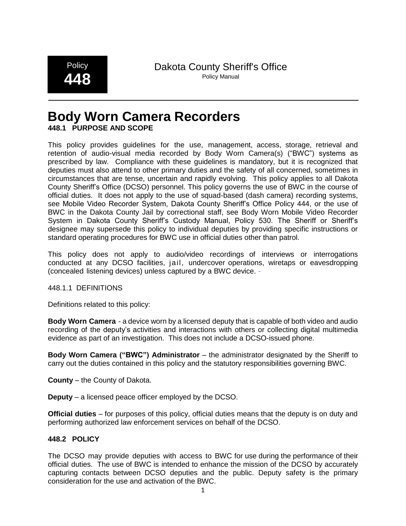**Policy 448**

Dakota County Sheriff's Office Policy Manual

# **Body Worn Camera Recorders**

## **448.1 PURPOSE AND SCOPE**

This policy provides guidelines for the use, management, access, storage, retrieval and retention of audio-visual media recorded by Body Worn Camera(s) ("BWC") systems as prescribed by law. Compliance with these guidelines is mandatory, but it is recognized that deputies must also attend to other primary duties and the safety of all concerned, sometimes in circumstances that are tense, uncertain and rapidly evolving. This policy applies to all Dakota County Sheriff's Office (DCSO) personnel. This policy governs the use of BWC in the course of official duties. It does not apply to the use of squad-based (dash camera) recording systems, see Mobile Video Recorder System, Dakota County Sheriff's Office Policy 444, or the use of BWC in the Dakota County Jail by correctional staff, see Body Worn Mobile Video Recorder System in Dakota County Sheriff's Custody Manual, Policy 530. The Sheriff or Sheriff's designee may supersede this policy to individual deputies by providing specific instructions or standard operating procedures for BWC use in official duties other than patrol.

This policy does not apply to audio/video recordings of interviews or interrogations conducted at any DCSO facilities, jail, undercover operations, wiretaps or eavesdropping (concealed listening devices) unless captured by a BWC device.

## 448.1.1 DEFINITIONS

Definitions related to this policy:

**Body Worn Camera** - a device worn by a licensed deputy that is capable of both video and audio recording of the deputy's activities and interactions with others or collecting digital multimedia evidence as part of an investigation. This does not include a DCSO-issued phone.

**Body Worn Camera ("BWC") Administrator** – the administrator designated by the Sheriff to carry out the duties contained in this policy and the statutory responsibilities governing BWC.

**County** – the County of Dakota.

**Deputy** – a licensed peace officer employed by the DCSO.

**Official duties** – for purposes of this policy, official duties means that the deputy is on duty and performing authorized law enforcement services on behalf of the DCSO.

## **448.2 POLICY**

The DCSO may provide deputies with access to BWC for use during the performance of their official duties. The use of BWC is intended to enhance the mission of the DCSO by accurately capturing contacts between DCSO deputies and the public. Deputy safety is the primary consideration for the use and activation of the BWC.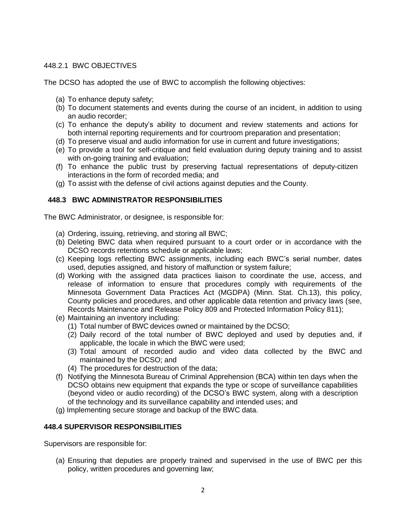## 448.2.1 BWC OBJECTIVES

The DCSO has adopted the use of BWC to accomplish the following objectives:

- (a) To enhance deputy safety;
- (b) To document statements and events during the course of an incident, in addition to using an audio recorder;
- (c) To enhance the deputy's ability to document and review statements and actions for both internal reporting requirements and for courtroom preparation and presentation;
- (d) To preserve visual and audio information for use in current and future investigations;
- (e) To provide a tool for self-critique and field evaluation during deputy training and to assist with on-going training and evaluation;
- (f) To enhance the public trust by preserving factual representations of deputy-citizen interactions in the form of recorded media; and
- (g) To assist with the defense of civil actions against deputies and the County.

## **448.3 BWC ADMINISTRATOR RESPONSIBILITIES**

The BWC Administrator, or designee, is responsible for:

- (a) Ordering, issuing, retrieving, and storing all BWC;
- (b) Deleting BWC data when required pursuant to a court order or in accordance with the DCSO records retentions schedule or applicable laws;
- (c) Keeping logs reflecting BWC assignments, including each BWC's serial number, dates used, deputies assigned, and history of malfunction or system failure;
- (d) Working with the assigned data practices liaison to coordinate the use, access, and release of information to ensure that procedures comply with requirements of the Minnesota Government Data Practices Act (MGDPA) (Minn. Stat. Ch.13), this policy, County policies and procedures, and other applicable data retention and privacy laws (see, Records Maintenance and Release Policy 809 and Protected Information Policy 811);
- (e) Maintaining an inventory including:
	- (1) Total number of BWC devices owned or maintained by the DCSO;
	- (2) Daily record of the total number of BWC deployed and used by deputies and, if applicable, the locale in which the BWC were used;
	- (3) Total amount of recorded audio and video data collected by the BWC and maintained by the DCSO; and
	- (4) The procedures for destruction of the data;
- (f) Notifying the Minnesota Bureau of Criminal Apprehension (BCA) within ten days when the DCSO obtains new equipment that expands the type or scope of surveillance capabilities (beyond video or audio recording) of the DCSO's BWC system, along with a description of the technology and its surveillance capability and intended uses; and
- (g) Implementing secure storage and backup of the BWC data.

## **448.4 SUPERVISOR RESPONSIBILITIES**

Supervisors are responsible for:

(a) Ensuring that deputies are properly trained and supervised in the use of BWC per this policy, written procedures and governing law;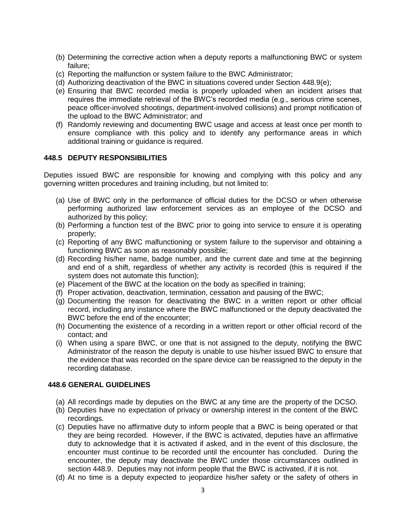- (b) Determining the corrective action when a deputy reports a malfunctioning BWC or system failure;
- (c) Reporting the malfunction or system failure to the BWC Administrator;
- (d) Authorizing deactivation of the BWC in situations covered under Section 448.9(e);
- (e) Ensuring that BWC recorded media is properly uploaded when an incident arises that requires the immediate retrieval of the BWC's recorded media (e.g., serious crime scenes, peace officer-involved shootings, department-involved collisions) and prompt notification of the upload to the BWC Administrator; and
- (f) Randomly reviewing and documenting BWC usage and access at least once per month to ensure compliance with this policy and to identify any performance areas in which additional training or guidance is required.

## **448.5 DEPUTY RESPONSIBILITIES**

Deputies issued BWC are responsible for knowing and complying with this policy and any governing written procedures and training including, but not limited to:

- (a) Use of BWC only in the performance of official duties for the DCSO or when otherwise performing authorized law enforcement services as an employee of the DCSO and authorized by this policy;
- (b) Performing a function test of the BWC prior to going into service to ensure it is operating properly;
- (c) Reporting of any BWC malfunctioning or system failure to the supervisor and obtaining a functioning BWC as soon as reasonably possible;
- (d) Recording his/her name, badge number, and the current date and time at the beginning and end of a shift, regardless of whether any activity is recorded (this is required if the system does not automate this function);
- (e) Placement of the BWC at the location on the body as specified in training;
- (f) Proper activation, deactivation, termination, cessation and pausing of the BWC;
- (g) Documenting the reason for deactivating the BWC in a written report or other official record, including any instance where the BWC malfunctioned or the deputy deactivated the BWC before the end of the encounter;
- (h) Documenting the existence of a recording in a written report or other official record of the contact; and
- (i) When using a spare BWC, or one that is not assigned to the deputy, notifying the BWC Administrator of the reason the deputy is unable to use his/her issued BWC to ensure that the evidence that was recorded on the spare device can be reassigned to the deputy in the recording database.

#### **448.6 GENERAL GUIDELINES**

- (a) All recordings made by deputies on the BWC at any time are the property of the DCSO.
- (b) Deputies have no expectation of privacy or ownership interest in the content of the BWC recordings.
- (c) Deputies have no affirmative duty to inform people that a BWC is being operated or that they are being recorded. However, if the BWC is activated, deputies have an affirmative duty to acknowledge that it is activated if asked, and in the event of this disclosure, the encounter must continue to be recorded until the encounter has concluded. During the encounter, the deputy may deactivate the BWC under those circumstances outlined in section 448.9. Deputies may not inform people that the BWC is activated, if it is not.
- (d) At no time is a deputy expected to jeopardize his/her safety or the safety of others in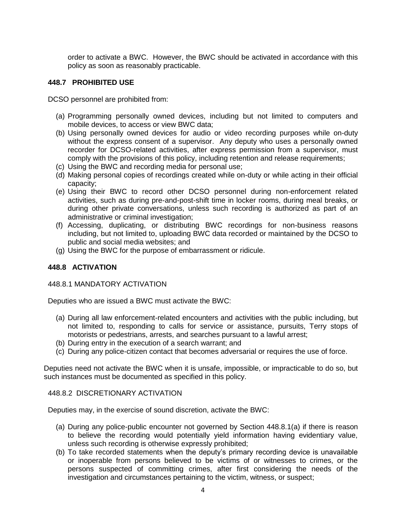order to activate a BWC. However, the BWC should be activated in accordance with this policy as soon as reasonably practicable.

## **448.7 PROHIBITED USE**

DCSO personnel are prohibited from:

- (a) Programming personally owned devices, including but not limited to computers and mobile devices, to access or view BWC data;
- (b) Using personally owned devices for audio or video recording purposes while on-duty without the express consent of a supervisor. Any deputy who uses a personally owned recorder for DCSO-related activities, after express permission from a supervisor, must comply with the provisions of this policy, including retention and release requirements;
- (c) Using the BWC and recording media for personal use;
- (d) Making personal copies of recordings created while on-duty or while acting in their official capacity;
- (e) Using their BWC to record other DCSO personnel during non-enforcement related activities, such as during pre-and-post-shift time in locker rooms, during meal breaks, or during other private conversations, unless such recording is authorized as part of an administrative or criminal investigation;
- (f) Accessing, duplicating, or distributing BWC recordings for non-business reasons including, but not limited to, uploading BWC data recorded or maintained by the DCSO to public and social media websites; and
- (g) Using the BWC for the purpose of embarrassment or ridicule.

## **448.8 ACTIVATION**

#### 448.8.1 MANDATORY ACTIVATION

Deputies who are issued a BWC must activate the BWC:

- (a) During all law enforcement-related encounters and activities with the public including, but not limited to, responding to calls for service or assistance, pursuits, Terry stops of motorists or pedestrians, arrests, and searches pursuant to a lawful arrest;
- (b) During entry in the execution of a search warrant; and
- (c) During any police-citizen contact that becomes adversarial or requires the use of force.

Deputies need not activate the BWC when it is unsafe, impossible, or impracticable to do so, but such instances must be documented as specified in this policy.

#### 448.8.2 DISCRETIONARY ACTIVATION

Deputies may, in the exercise of sound discretion, activate the BWC:

- (a) During any police-public encounter not governed by Section 448.8.1(a) if there is reason to believe the recording would potentially yield information having evidentiary value, unless such recording is otherwise expressly prohibited;
- (b) To take recorded statements when the deputy's primary recording device is unavailable or inoperable from persons believed to be victims of or witnesses to crimes, or the persons suspected of committing crimes, after first considering the needs of the investigation and circumstances pertaining to the victim, witness, or suspect;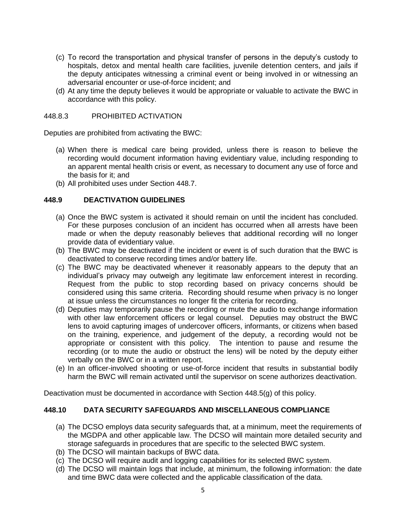- (c) To record the transportation and physical transfer of persons in the deputy's custody to hospitals, detox and mental health care facilities, juvenile detention centers, and jails if the deputy anticipates witnessing a criminal event or being involved in or witnessing an adversarial encounter or use-of-force incident; and
- (d) At any time the deputy believes it would be appropriate or valuable to activate the BWC in accordance with this policy.

## 448.8.3 PROHIBITED ACTIVATION

Deputies are prohibited from activating the BWC:

- (a) When there is medical care being provided, unless there is reason to believe the recording would document information having evidentiary value, including responding to an apparent mental health crisis or event, as necessary to document any use of force and the basis for it; and
- (b) All prohibited uses under Section 448.7.

## **448.9 DEACTIVATION GUIDELINES**

- (a) Once the BWC system is activated it should remain on until the incident has concluded. For these purposes conclusion of an incident has occurred when all arrests have been made or when the deputy reasonably believes that additional recording will no longer provide data of evidentiary value.
- (b) The BWC may be deactivated if the incident or event is of such duration that the BWC is deactivated to conserve recording times and/or battery life.
- (c) The BWC may be deactivated whenever it reasonably appears to the deputy that an individual's privacy may outweigh any legitimate law enforcement interest in recording. Request from the public to stop recording based on privacy concerns should be considered using this same criteria. Recording should resume when privacy is no longer at issue unless the circumstances no longer fit the criteria for recording.
- (d) Deputies may temporarily pause the recording or mute the audio to exchange information with other law enforcement officers or legal counsel. Deputies may obstruct the BWC lens to avoid capturing images of undercover officers, informants, or citizens when based on the training, experience, and judgement of the deputy, a recording would not be appropriate or consistent with this policy. The intention to pause and resume the recording (or to mute the audio or obstruct the lens) will be noted by the deputy either verbally on the BWC or in a written report.
- (e) In an officer-involved shooting or use-of-force incident that results in substantial bodily harm the BWC will remain activated until the supervisor on scene authorizes deactivation.

Deactivation must be documented in accordance with Section 448.5(g) of this policy.

## **448.10 DATA SECURITY SAFEGUARDS AND MISCELLANEOUS COMPLIANCE**

- (a) The DCSO employs data security safeguards that, at a minimum, meet the requirements of the MGDPA and other applicable law. The DCSO will maintain more detailed security and storage safeguards in procedures that are specific to the selected BWC system.
- (b) The DCSO will maintain backups of BWC data.
- (c) The DCSO will require audit and logging capabilities for its selected BWC system.
- (d) The DCSO will maintain logs that include, at minimum, the following information: the date and time BWC data were collected and the applicable classification of the data.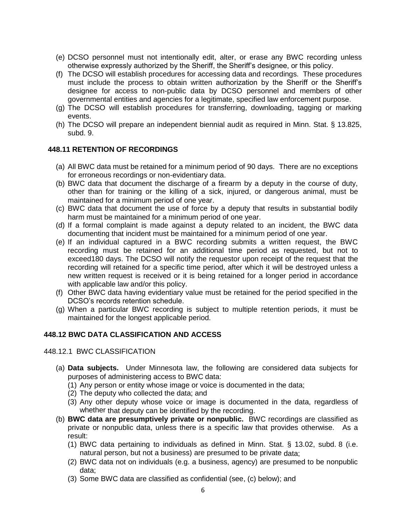- (e) DCSO personnel must not intentionally edit, alter, or erase any BWC recording unless otherwise expressly authorized by the Sheriff, the Sheriff's designee, or this policy.
- (f) The DCSO will establish procedures for accessing data and recordings. These procedures must include the process to obtain written authorization by the Sheriff or the Sheriff's designee for access to non-public data by DCSO personnel and members of other governmental entities and agencies for a legitimate, specified law enforcement purpose.
- (g) The DCSO will establish procedures for transferring, downloading, tagging or marking events.
- (h) The DCSO will prepare an independent biennial audit as required in Minn. Stat. § 13.825, subd. 9.

## **448.11 RETENTION OF RECORDINGS**

- (a) All BWC data must be retained for a minimum period of 90 days. There are no exceptions for erroneous recordings or non-evidentiary data.
- (b) BWC data that document the discharge of a firearm by a deputy in the course of duty, other than for training or the killing of a sick, injured, or dangerous animal, must be maintained for a minimum period of one year.
- (c) BWC data that document the use of force by a deputy that results in substantial bodily harm must be maintained for a minimum period of one year.
- (d) If a formal complaint is made against a deputy related to an incident, the BWC data documenting that incident must be maintained for a minimum period of one year.
- (e) If an individual captured in a BWC recording submits a written request, the BWC recording must be retained for an additional time period as requested, but not to exceed180 days. The DCSO will notify the requestor upon receipt of the request that the recording will retained for a specific time period, after which it will be destroyed unless a new written request is received or it is being retained for a longer period in accordance with applicable law and/or this policy.
- (f) Other BWC data having evidentiary value must be retained for the period specified in the DCSO's records retention schedule.
- (g) When a particular BWC recording is subject to multiple retention periods, it must be maintained for the longest applicable period.

#### **448.12 BWC DATA CLASSIFICATION AND ACCESS**

#### 448.12.1 BWC CLASSIFICATION

- (a) **Data subjects.** Under Minnesota law, the following are considered data subjects for purposes of administering access to BWC data:
	- (1) Any person or entity whose image or voice is documented in the data;
	- (2) The deputy who collected the data; and
	- (3) Any other deputy whose voice or image is documented in the data, regardless of whether that deputy can be identified by the recording.
- (b) **BWC data are presumptively private or nonpublic.** BWC recordings are classified as private or nonpublic data, unless there is a specific law that provides otherwise. As a result:
	- (1) BWC data pertaining to individuals as defined in Minn. Stat. § 13.02, subd. 8 (i.e. natural person, but not a business) are presumed to be private data;
	- (2) BWC data not on individuals (e.g. a business, agency) are presumed to be nonpublic data;
	- (3) Some BWC data are classified as confidential (see, (c) below); and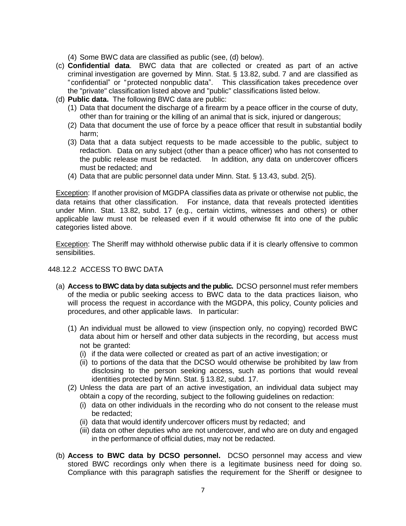(4) Some BWC data are classified as public (see, (d) below).

- (c) **Confidential data**. BWC data that are collected or created as part of an active criminal investigation are governed by Minn. Stat. § 13.82, subd. 7 and are classified as "confidential" or "protected nonpublic data". This classification takes precedence over the "private" classification listed above and "public" classifications listed below.
- (d) **Public data.** The following BWC data are public:
	- (1) Data that document the discharge of a firearm by a peace officer in the course of duty, other than for training or the killing of an animal that is sick, injured or dangerous;
	- (2) Data that document the use of force by a peace officer that result in substantial bodily harm;
	- (3) Data that a data subject requests to be made accessible to the public, subject to redaction. Data on any subject (other than a peace officer) who has not consented to the public release must be redacted. In addition, any data on undercover officers must be redacted; and
	- (4) Data that are public personnel data under Minn. Stat. § 13.43, subd. 2(5).

Exception: If another provision of MGDPA classifies data as private or otherwise not public, the data retains that other classification. For instance, data that reveals protected identities under Minn. Stat. 13.82, subd. 17 (e.g., certain victims, witnesses and others) or other applicable law must not be released even if it would otherwise fit into one of the public categories listed above.

Exception: The Sheriff may withhold otherwise public data if it is clearly offensive to common sensibilities.

## 448.12.2 ACCESS TO BWC DATA

- (a) **Access to BWC data by data subjects and the public.** DCSO personnel must refer members of the media or public seeking access to BWC data to the data practices liaison, who will process the request in accordance with the MGDPA, this policy, County policies and procedures, and other applicable laws. In particular:
	- (1) An individual must be allowed to view (inspection only, no copying) recorded BWC data about him or herself and other data subjects in the recording, but access must not be granted:
		- (i) if the data were collected or created as part of an active investigation; or
		- (ii) to portions of the data that the DCSO would otherwise be prohibited by law from disclosing to the person seeking access, such as portions that would reveal identities protected by Minn. Stat. § 13.82, subd. 17.
	- (2) Unless the data are part of an active investigation, an individual data subject may obtain a copy of the recording, subject to the following guidelines on redaction:
		- (i) data on other individuals in the recording who do not consent to the release must be redacted;
		- (ii) data that would identify undercover officers must by redacted; and
		- (iii) data on other deputies who are not undercover, and who are on duty and engaged in the performance of official duties, may not be redacted.
- (b) **Access to BWC data by DCSO personnel.** DCSO personnel may access and view stored BWC recordings only when there is a legitimate business need for doing so. Compliance with this paragraph satisfies the requirement for the Sheriff or designee to